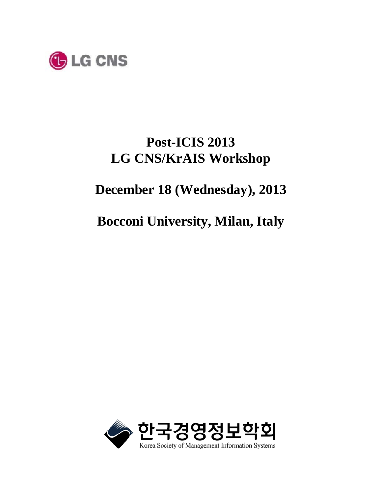

# **Post-ICIS 2013 LG CNS/KrAIS Workshop**

# **December 18 (Wednesday), 2013**

# **Bocconi University, Milan, Italy**

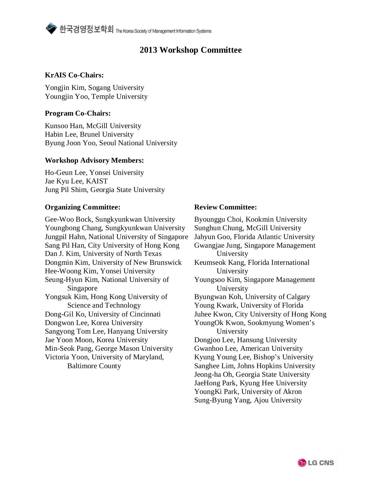### **2013 Workshop Committee**

#### **KrAIS Co-Chairs:**

Yongjin Kim, Sogang University Youngjin Yoo, Temple University

#### **Program Co-Chairs:**

Kunsoo Han, McGill University Habin Lee, Brunel University Byung Joon Yoo, Seoul National University

#### **Workshop Advisory Members:**

Ho-Geun Lee, Yonsei University Jae Kyu Lee, KAIST Jung Pil Shim, Georgia State University

#### **Organizing Committee: Review Committee:**

Gee-Woo Bock, Sungkyunkwan University Youngbong Chang, Sungkyunkwan University Jungpil Hahn, National University of Singapore Sang Pil Han, City University of Hong Kong Dan J. Kim, University of North Texas Dongmin Kim, University of New Brunswick Hee-Woong Kim, Yonsei University Seung-Hyun Kim, National University of Singapore Yongsuk Kim, Hong Kong University of Science and Technology Dong-Gil Ko, University of Cincinnati Dongwon Lee, Korea University Sangyong Tom Lee, Hanyang University Jae Yoon Moon, Korea University Min-Seok Pang, George Mason University Victoria Yoon, University of Maryland, Baltimore County

Byounggu Choi, Kookmin University Sunghun Chung, McGill University Jahyun Goo, Florida Atlantic University Gwangjae Jung, Singapore Management University Keumseok Kang, Florida International University Youngsoo Kim, Singapore Management University Byungwan Koh, University of Calgary Young Kwark, University of Florida Juhee Kwon, City University of Hong Kong YoungOk Kwon, Sookmyung Women's University Dongjoo Lee, Hansung University Gwanhoo Lee, American University Kyung Young Lee, Bishop's University Sanghee Lim, Johns Hopkins University Jeong-ha Oh, Georgia State University JaeHong Park, Kyung Hee University YoungKi Park, University of Akron Sung-Byung Yang, Ajou University

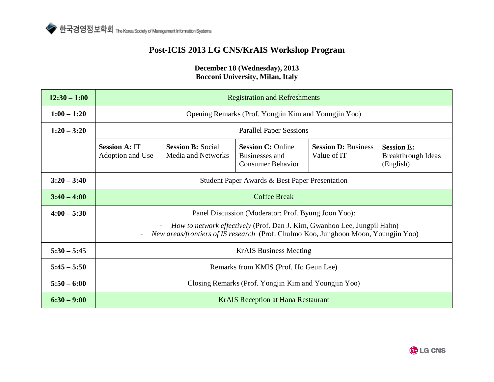### **Post-ICIS 2013 LG CNS/KrAIS Workshop Program**

| $12:30 - 1:00$ | <b>Registration and Refreshments</b>                                                                                                                                  |                                                |                                                                        |                                           |                                                      |
|----------------|-----------------------------------------------------------------------------------------------------------------------------------------------------------------------|------------------------------------------------|------------------------------------------------------------------------|-------------------------------------------|------------------------------------------------------|
| $1:00 - 1:20$  | Opening Remarks (Prof. Yongjin Kim and Youngjin Yoo)                                                                                                                  |                                                |                                                                        |                                           |                                                      |
| $1:20 - 3:20$  | <b>Parallel Paper Sessions</b>                                                                                                                                        |                                                |                                                                        |                                           |                                                      |
|                | <b>Session A: IT</b><br>Adoption and Use                                                                                                                              | <b>Session B: Social</b><br>Media and Networks | <b>Session C: Online</b><br>Businesses and<br><b>Consumer Behavior</b> | <b>Session D: Business</b><br>Value of IT | <b>Session E:</b><br>Breakthrough Ideas<br>(English) |
| $3:20 - 3:40$  | Student Paper Awards & Best Paper Presentation                                                                                                                        |                                                |                                                                        |                                           |                                                      |
| $3:40 - 4:00$  | <b>Coffee Break</b>                                                                                                                                                   |                                                |                                                                        |                                           |                                                      |
| $4:00 - 5:30$  | Panel Discussion (Moderator: Prof. Byung Joon Yoo):                                                                                                                   |                                                |                                                                        |                                           |                                                      |
|                | How to network effectively (Prof. Dan J. Kim, Gwanhoo Lee, Jungpil Hahn)<br><i>New areas/frontiers of IS research</i> (Prof. Chulmo Koo, Junghoon Moon, Youngjin Yoo) |                                                |                                                                        |                                           |                                                      |
| $5:30 - 5:45$  | <b>KrAIS Business Meeting</b>                                                                                                                                         |                                                |                                                                        |                                           |                                                      |
| $5:45 - 5:50$  | Remarks from KMIS (Prof. Ho Geun Lee)                                                                                                                                 |                                                |                                                                        |                                           |                                                      |
| $5:50 - 6:00$  | Closing Remarks (Prof. Yongjin Kim and Youngjin Yoo)                                                                                                                  |                                                |                                                                        |                                           |                                                      |
| $6:30 - 9:00$  | <b>KrAIS</b> Reception at Hana Restaurant                                                                                                                             |                                                |                                                                        |                                           |                                                      |

#### **December 18 (Wednesday), 2013 Bocconi University, Milan, Italy**

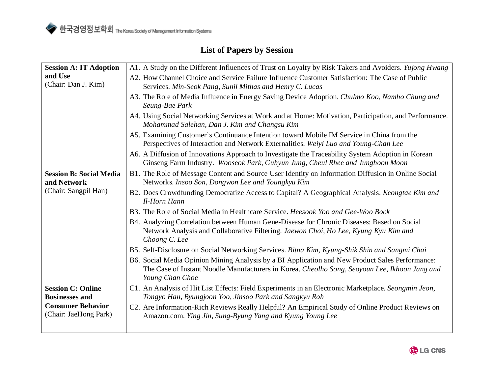### **List of Papers by Session**

| <b>Session A: IT Adoption</b><br>and Use<br>(Chair: Dan J. Kim)                                        | A1. A Study on the Different Influences of Trust on Loyalty by Risk Takers and Avoiders. Yujong Hwang<br>A2. How Channel Choice and Service Failure Influence Customer Satisfaction: The Case of Public<br>Services. Min-Seok Pang, Sunil Mithas and Henry C. Lucas<br>A3. The Role of Media Influence in Energy Saving Device Adoption. Chulmo Koo, Namho Chung and<br>Seung-Bae Park<br>A4. Using Social Networking Services at Work and at Home: Motivation, Participation, and Performance.<br>Mohammad Salehan, Dan J. Kim and Changsu Kim<br>A5. Examining Customer's Continuance Intention toward Mobile IM Service in China from the<br>Perspectives of Interaction and Network Externalities. Weiyi Luo and Young-Chan Lee                                                                                                                                                          |  |  |  |
|--------------------------------------------------------------------------------------------------------|----------------------------------------------------------------------------------------------------------------------------------------------------------------------------------------------------------------------------------------------------------------------------------------------------------------------------------------------------------------------------------------------------------------------------------------------------------------------------------------------------------------------------------------------------------------------------------------------------------------------------------------------------------------------------------------------------------------------------------------------------------------------------------------------------------------------------------------------------------------------------------------------|--|--|--|
|                                                                                                        | A6. A Diffusion of Innovations Approach to Investigate the Traceability System Adoption in Korean<br>Ginseng Farm Industry. Wooseok Park, Guhyun Jung, Cheul Rhee and Junghoon Moon                                                                                                                                                                                                                                                                                                                                                                                                                                                                                                                                                                                                                                                                                                          |  |  |  |
| <b>Session B: Social Media</b><br>and Network<br>(Chair: Sangpil Han)                                  | B1. The Role of Message Content and Source User Identity on Information Diffusion in Online Social<br>Networks. Insoo Son, Dongwon Lee and Youngkyu Kim<br>B2. Does Crowdfunding Democratize Access to Capital? A Geographical Analysis. Keongtae Kim and<br>Il-Horn Hann<br>B3. The Role of Social Media in Healthcare Service. Heesook Yoo and Gee-Woo Bock<br>B4. Analyzing Correlation between Human Gene-Disease for Chronic Diseases: Based on Social<br>Network Analysis and Collaborative Filtering. Jaewon Choi, Ho Lee, Kyung Kyu Kim and<br>Choong C. Lee<br>B5. Self-Disclosure on Social Networking Services. Bitna Kim, Kyung-Shik Shin and Sangmi Chai<br>B6. Social Media Opinion Mining Analysis by a BI Application and New Product Sales Performance:<br>The Case of Instant Noodle Manufacturers in Korea. Cheolho Song, Seoyoun Lee, Ikhoon Jang and<br>Young Chan Choe |  |  |  |
| <b>Session C: Online</b><br><b>Businesses and</b><br><b>Consumer Behavior</b><br>(Chair: JaeHong Park) | C1. An Analysis of Hit List Effects: Field Experiments in an Electronic Marketplace. Seongmin Jeon,<br>Tongyo Han, Byungjoon Yoo, Jinsoo Park and Sangkyu Roh<br>C2. Are Information-Rich Reviews Really Helpful? An Empirical Study of Online Product Reviews on<br>Amazon.com. Ying Jin, Sung-Byung Yang and Kyung Young Lee                                                                                                                                                                                                                                                                                                                                                                                                                                                                                                                                                               |  |  |  |